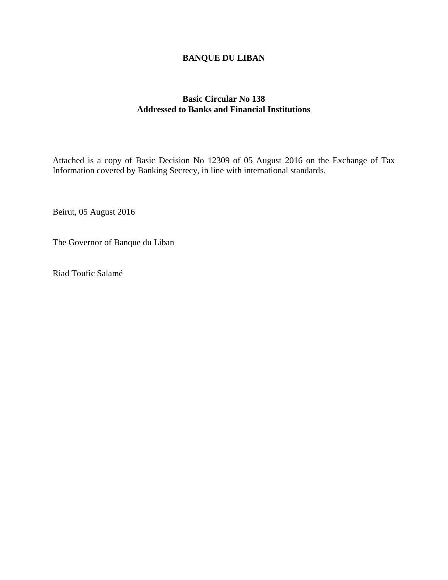## **BANQUE DU LIBAN**

## **Basic Circular No 138 Addressed to Banks and Financial Institutions**

Attached is a copy of Basic Decision No 12309 of 05 August 2016 on the Exchange of Tax Information covered by Banking Secrecy, in line with international standards.

Beirut, 05 August 2016

The Governor of Banque du Liban

Riad Toufic Salamé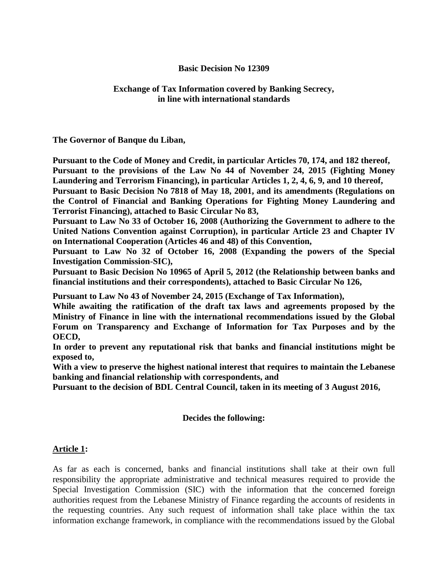### **Basic Decision No 12309**

### **Exchange of Tax Information covered by Banking Secrecy, in line with international standards**

#### **The Governor of Banque du Liban,**

**Pursuant to the Code of Money and Credit, in particular Articles 70, 174, and 182 thereof, Pursuant to the provisions of the Law No 44 of November 24, 2015 (Fighting Money Laundering and Terrorism Financing), in particular Articles 1, 2, 4, 6, 9, and 10 thereof, Pursuant to Basic Decision No 7818 of May 18, 2001, and its amendments (Regulations on the Control of Financial and Banking Operations for Fighting Money Laundering and Terrorist Financing), attached to Basic Circular No 83,** 

**Pursuant to Law No 33 of October 16, 2008 (Authorizing the Government to adhere to the United Nations Convention against Corruption), in particular Article 23 and Chapter IV on International Cooperation (Articles 46 and 48) of this Convention,** 

**Pursuant to Law No 32 of October 16, 2008 (Expanding the powers of the Special Investigation Commission-SIC),**

**Pursuant to Basic Decision No 10965 of April 5, 2012 (the Relationship between banks and financial institutions and their correspondents), attached to Basic Circular No 126,**

**Pursuant to Law No 43 of November 24, 2015 (Exchange of Tax Information),**

**While awaiting the ratification of the draft tax laws and agreements proposed by the Ministry of Finance in line with the international recommendations issued by the Global Forum on Transparency and Exchange of Information for Tax Purposes and by the OECD,**

**In order to prevent any reputational risk that banks and financial institutions might be exposed to,**

**With a view to preserve the highest national interest that requires to maintain the Lebanese banking and financial relationship with correspondents, and**

**Pursuant to the decision of BDL Central Council, taken in its meeting of 3 August 2016,** 

### **Decides the following:**

#### **Article 1:**

As far as each is concerned, banks and financial institutions shall take at their own full responsibility the appropriate administrative and technical measures required to provide the Special Investigation Commission (SIC) with the information that the concerned foreign authorities request from the Lebanese Ministry of Finance regarding the accounts of residents in the requesting countries. Any such request of information shall take place within the tax information exchange framework, in compliance with the recommendations issued by the Global